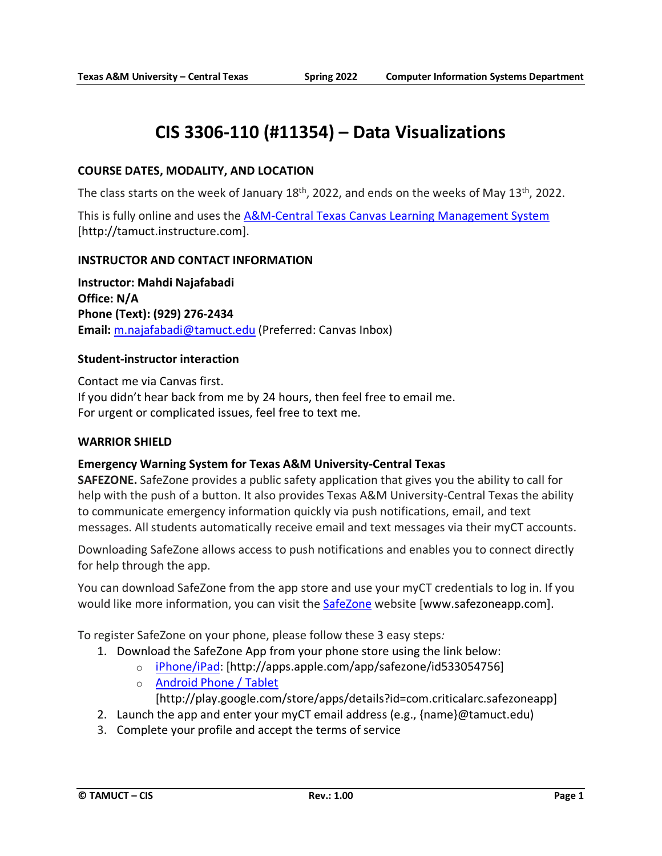# **CIS 3306-110 (#11354) – Data Visualizations**

#### **COURSE DATES, MODALITY, AND LOCATION**

The class starts on the week of January 18<sup>th</sup>, 2022, and ends on the weeks of May 13<sup>th</sup>, 2022.

This is fully online and uses the [A&M-Central Texas Canvas Learning Management System](http://tamuct.instructure.com/) [http://tamuct.instructure.com].

#### **INSTRUCTOR AND CONTACT INFORMATION**

**Instructor: Mahdi Najafabadi Office: N/A Phone (Text): (929) 276-2434 Email:** [m.najafabadi@tamuct.edu](mailto:m.najafabadi@tamuct.edu) (Preferred: Canvas Inbox)

#### **Student-instructor interaction**

Contact me via Canvas first. If you didn't hear back from me by 24 hours, then feel free to email me. For urgent or complicated issues, feel free to text me.

#### **WARRIOR SHIELD**

#### **Emergency Warning System for Texas A&M University-Central Texas**

**SAFEZONE.** SafeZone provides a public safety application that gives you the ability to call for help with the push of a button. It also provides Texas A&M University-Central Texas the ability to communicate emergency information quickly via push notifications, email, and text messages. All students automatically receive email and text messages via their myCT accounts.

Downloading SafeZone allows access to push notifications and enables you to connect directly for help through the app.

You can download SafeZone from the app store and use your myCT credentials to log in. If you would like more information, you can visit the [SafeZone](http://www.safezoneapp.com/) website [www.safezoneapp.com].

To register SafeZone on your phone, please follow these 3 easy steps*:*

- 1. Download the SafeZone App from your phone store using the link below:
	- o [iPhone/iPad:](https://apps.apple.com/app/safezone/id533054756) [http://apps.apple.com/app/safezone/id533054756]
		- o [Android Phone / Tablet](https://play.google.com/store/apps/details?id=com.criticalarc.safezoneapp)

[http://play.google.com/store/apps/details?id=com.criticalarc.safezoneapp]

- 2. Launch the app and enter your myCT email address (e.g., {name}@tamuct.edu)
- 3. Complete your profile and accept the terms of service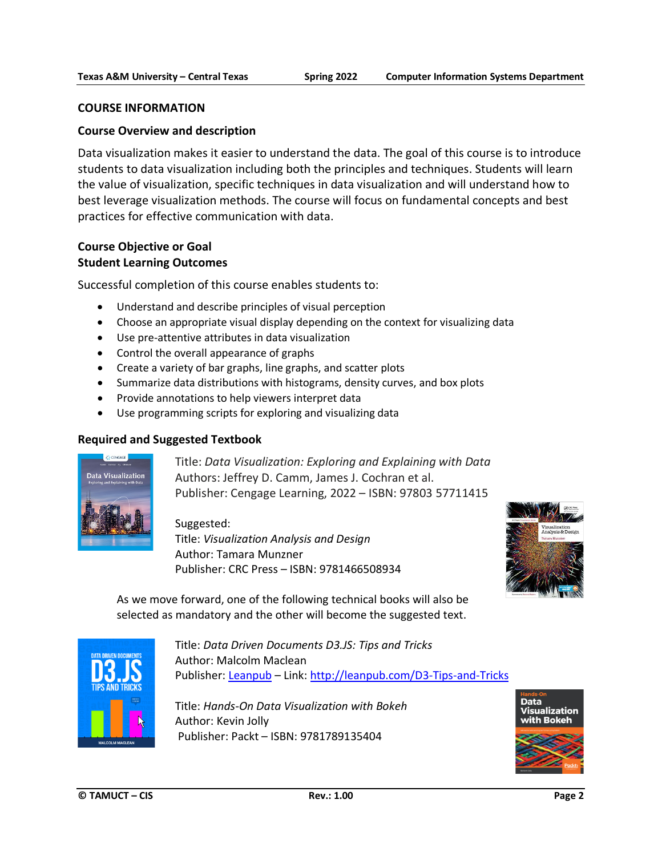#### **COURSE INFORMATION**

#### **Course Overview and description**

Data visualization makes it easier to understand the data. The goal of this course is to introduce students to data visualization including both the principles and techniques. Students will learn the value of visualization, specific techniques in data visualization and will understand how to best leverage visualization methods. The course will focus on fundamental concepts and best practices for effective communication with data.

#### **Course Objective or Goal Student Learning Outcomes**

Successful completion of this course enables students to:

- Understand and describe principles of visual perception
- Choose an appropriate visual display depending on the context for visualizing data
- Use pre-attentive attributes in data visualization
- Control the overall appearance of graphs
- Create a variety of bar graphs, line graphs, and scatter plots
- Summarize data distributions with histograms, density curves, and box plots
- Provide annotations to help viewers interpret data
- Use programming scripts for exploring and visualizing data

#### **Required and Suggested Textbook**



Title: *Data Visualization: Exploring and Explaining with Data* Authors: Jeffrey D. Camm, James J. Cochran et al. Publisher: Cengage Learning, 2022 – ISBN: 97803 57711415

Suggested: Title: *Visualization Analysis and Design* Author: Tamara Munzner Publisher: CRC Press – ISBN: 9781466508934



As we move forward, one of the following technical books will also be selected as mandatory and the other will become the suggested text.



Title: *Data Driven Documents D3.JS: Tips and Tricks*  Author: Malcolm Maclean Publisher: [Leanpub](http://leanpub.com/D3-Tips-and-Tricks) – Link: <http://leanpub.com/D3-Tips-and-Tricks>

Title: *Hands-On Data Visualization with Bokeh* Author: Kevin Jolly Publisher: Packt – ISBN: 9781789135404

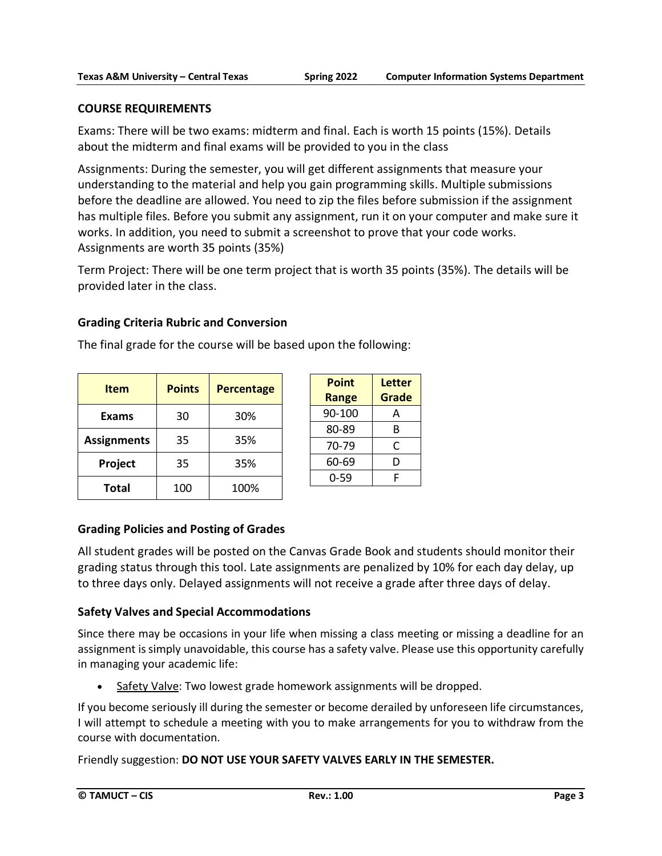#### **COURSE REQUIREMENTS**

Exams: There will be two exams: midterm and final. Each is worth 15 points (15%). Details about the midterm and final exams will be provided to you in the class

Assignments: During the semester, you will get different assignments that measure your understanding to the material and help you gain programming skills. Multiple submissions before the deadline are allowed. You need to zip the files before submission if the assignment has multiple files. Before you submit any assignment, run it on your computer and make sure it works. In addition, you need to submit a screenshot to prove that your code works. Assignments are worth 35 points (35%)

Term Project: There will be one term project that is worth 35 points (35%). The details will be provided later in the class.

#### **Grading Criteria Rubric and Conversion**

| <b>Item</b>        | <b>Points</b><br><b>Percentage</b> |      |
|--------------------|------------------------------------|------|
| <b>Exams</b>       | 30                                 | 30%  |
| <b>Assignments</b> | 35                                 | 35%  |
| Project            | 35                                 | 35%  |
| <b>Total</b>       | 100                                | 100% |

|  | The final grade for the course will be based upon the following: |  |  |
|--|------------------------------------------------------------------|--|--|
|--|------------------------------------------------------------------|--|--|

| Point<br>Range | Letter<br>Grade |
|----------------|-----------------|
| 90-100         | А               |
| 80-89          | В               |
| 70-79          | C               |
| 60-69          | D               |
| 0-59           | F               |

## **Grading Policies and Posting of Grades**

All student grades will be posted on the Canvas Grade Book and students should monitor their grading status through this tool. Late assignments are penalized by 10% for each day delay, up to three days only. Delayed assignments will not receive a grade after three days of delay.

## **Safety Valves and Special Accommodations**

Since there may be occasions in your life when missing a class meeting or missing a deadline for an assignment is simply unavoidable, this course has a safety valve. Please use this opportunity carefully in managing your academic life:

• Safety Valve: Two lowest grade homework assignments will be dropped.

If you become seriously ill during the semester or become derailed by unforeseen life circumstances, I will attempt to schedule a meeting with you to make arrangements for you to withdraw from the course with documentation.

Friendly suggestion: **DO NOT USE YOUR SAFETY VALVES EARLY IN THE SEMESTER.**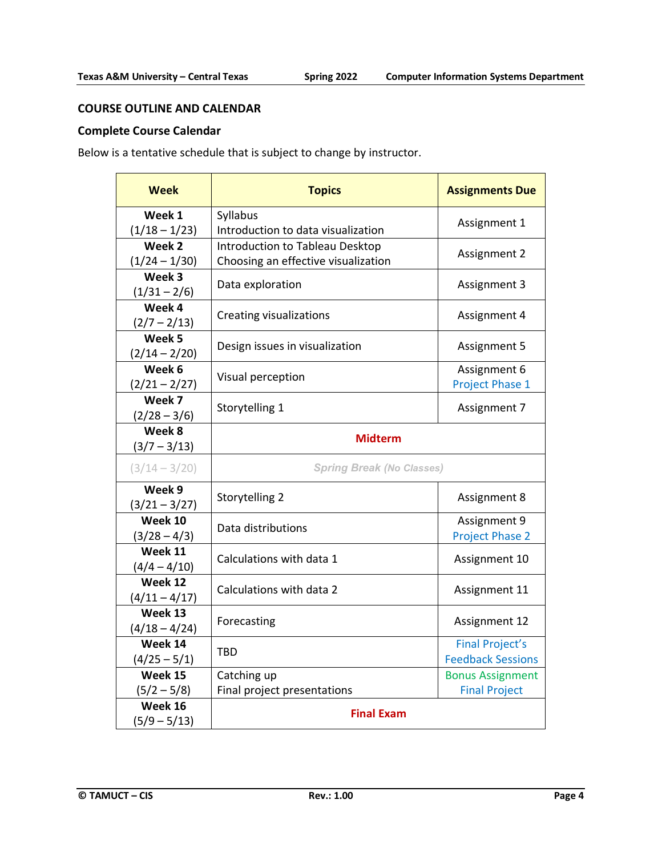#### **COURSE OUTLINE AND CALENDAR**

# **Complete Course Calendar**

Below is a tentative schedule that is subject to change by instructor.

| <b>Week</b>                          | <b>Topics</b>                       | <b>Assignments Due</b>                             |
|--------------------------------------|-------------------------------------|----------------------------------------------------|
| Week 1                               | Syllabus                            | Assignment 1                                       |
| $(1/18 - 1/23)$                      | Introduction to data visualization  |                                                    |
| Week 2                               | Introduction to Tableau Desktop     | Assignment 2                                       |
| $(1/24 - 1/30)$                      | Choosing an effective visualization |                                                    |
| Week 3<br>$(1/31 - 2/6)$             | Data exploration                    | Assignment 3                                       |
| Week 4<br>$(2/7 - 2/13)$             | <b>Creating visualizations</b>      | Assignment 4                                       |
| Week <sub>5</sub><br>$(2/14 - 2/20)$ | Design issues in visualization      | Assignment 5                                       |
| Week 6<br>$(2/21 - 2/27)$            | Visual perception                   | Assignment 6<br>Project Phase 1                    |
| Week 7<br>$(2/28 - 3/6)$             | Storytelling 1                      | Assignment 7                                       |
| Week 8<br>$(3/7 - 3/13)$             | <b>Midterm</b>                      |                                                    |
| $(3/14 - 3/20)$                      | <b>Spring Break (No Classes)</b>    |                                                    |
| Week 9<br>$(3/21 - 3/27)$            | Storytelling 2                      | Assignment 8                                       |
| Week 10<br>$(3/28 - 4/3)$            | Data distributions                  | Assignment 9<br><b>Project Phase 2</b>             |
| Week 11<br>$(4/4 - 4/10)$            | Calculations with data 1            | Assignment 10                                      |
| Week 12<br>$(4/11 - 4/17)$           | Calculations with data 2            | Assignment 11                                      |
| Week 13<br>$(4/18 - 4/24)$           | Forecasting                         | Assignment 12                                      |
| Week 14<br>$(4/25 - 5/1)$            | <b>TBD</b>                          | <b>Final Project's</b><br><b>Feedback Sessions</b> |
| Week 15                              | Catching up                         | <b>Bonus Assignment</b>                            |
| $(5/2 - 5/8)$                        | Final project presentations         | <b>Final Project</b>                               |
| Week 16<br>$(5/9 - 5/13)$            | <b>Final Exam</b>                   |                                                    |
|                                      |                                     |                                                    |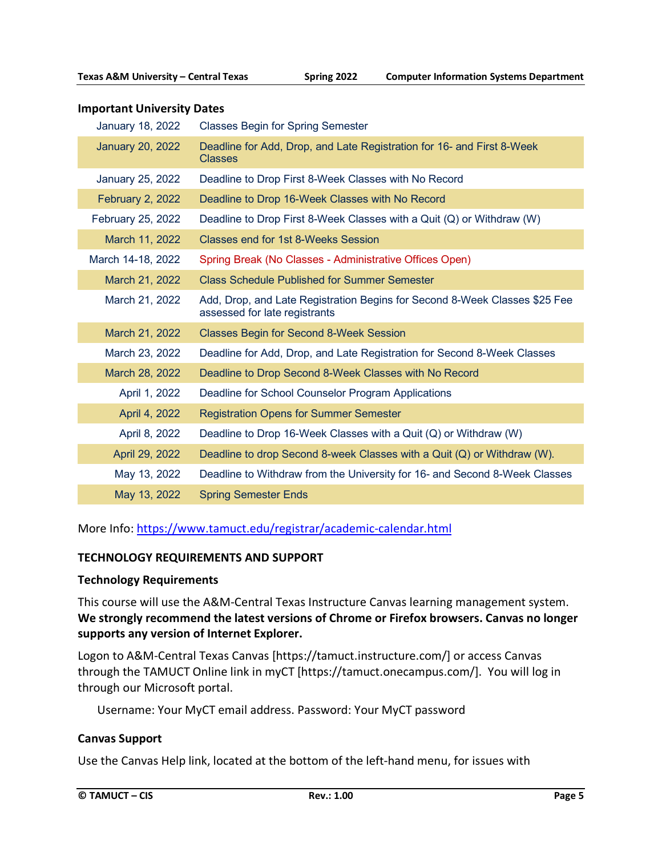#### **Important University Dates**

| <b>January 18, 2022</b> | <b>Classes Begin for Spring Semester</b>                                                                    |
|-------------------------|-------------------------------------------------------------------------------------------------------------|
| <b>January 20, 2022</b> | Deadline for Add, Drop, and Late Registration for 16- and First 8-Week<br>Classes                           |
| January 25, 2022        | Deadline to Drop First 8-Week Classes with No Record                                                        |
| <b>February 2, 2022</b> | Deadline to Drop 16-Week Classes with No Record                                                             |
| February 25, 2022       | Deadline to Drop First 8-Week Classes with a Quit (Q) or Withdraw (W)                                       |
| March 11, 2022          | <b>Classes end for 1st 8-Weeks Session</b>                                                                  |
| March 14-18, 2022       | Spring Break (No Classes - Administrative Offices Open)                                                     |
| March 21, 2022          | <b>Class Schedule Published for Summer Semester</b>                                                         |
| March 21, 2022          | Add, Drop, and Late Registration Begins for Second 8-Week Classes \$25 Fee<br>assessed for late registrants |
| March 21, 2022          | <b>Classes Begin for Second 8-Week Session</b>                                                              |
| March 23, 2022          | Deadline for Add, Drop, and Late Registration for Second 8-Week Classes                                     |
| March 28, 2022          | Deadline to Drop Second 8-Week Classes with No Record                                                       |
| April 1, 2022           | Deadline for School Counselor Program Applications                                                          |
| April 4, 2022           | <b>Registration Opens for Summer Semester</b>                                                               |
| April 8, 2022           | Deadline to Drop 16-Week Classes with a Quit (Q) or Withdraw (W)                                            |
| April 29, 2022          | Deadline to drop Second 8-week Classes with a Quit (Q) or Withdraw (W).                                     |
| May 13, 2022            | Deadline to Withdraw from the University for 16- and Second 8-Week Classes                                  |
| May 13, 2022            | <b>Spring Semester Ends</b>                                                                                 |

More Info: <https://www.tamuct.edu/registrar/academic-calendar.html>

#### **TECHNOLOGY REQUIREMENTS AND SUPPORT**

#### **Technology Requirements**

This course will use the A&M-Central Texas Instructure Canvas learning management system. **We strongly recommend the latest versions of Chrome or Firefox browsers. Canvas no longer supports any version of Internet Explorer.**

Logon to A&M-Central Texas Canvas [https://tamuct.instructure.com/] or access Canvas through the TAMUCT Online link in myCT [https://tamuct.onecampus.com/]. You will log in through our Microsoft portal.

Username: Your MyCT email address. Password: Your MyCT password

#### **Canvas Support**

Use the Canvas Help link, located at the bottom of the left-hand menu, for issues with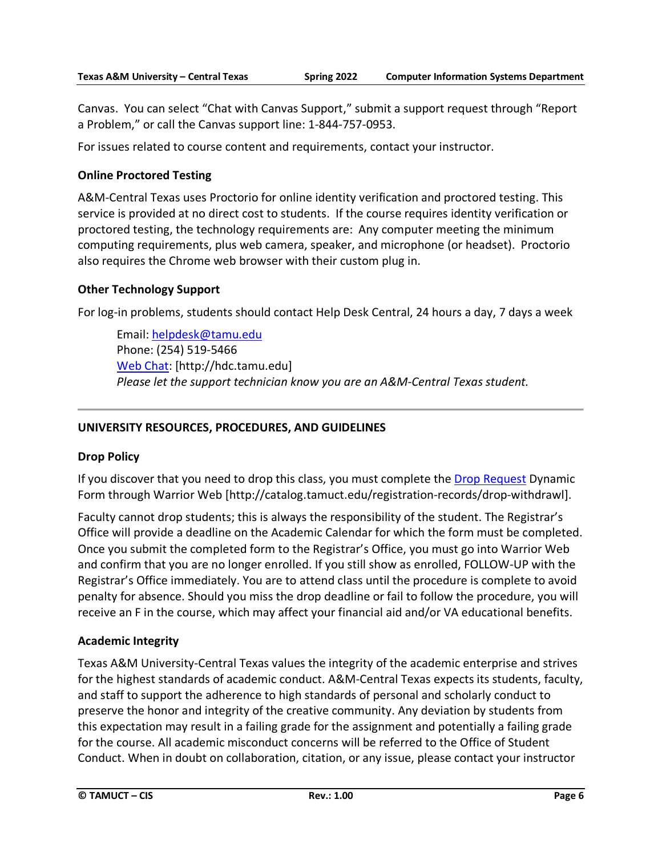Canvas. You can select "Chat with Canvas Support," submit a support request through "Report a Problem," or call the Canvas support line: 1-844-757-0953.

For issues related to course content and requirements, contact your instructor.

# **Online Proctored Testing**

A&M-Central Texas uses Proctorio for online identity verification and proctored testing. This service is provided at no direct cost to students. If the course requires identity verification or proctored testing, the technology requirements are: Any computer meeting the minimum computing requirements, plus web camera, speaker, and microphone (or headset). Proctorio also requires the Chrome web browser with their custom plug in.

# **Other Technology Support**

For log-in problems, students should contact Help Desk Central, 24 hours a day, 7 days a week

Email[: helpdesk@tamu.edu](mailto:helpdesk@tamu.edu) Phone: (254) 519-5466 [Web Chat:](http://hdc.tamu.edu/) [http://hdc.tamu.edu] *Please let the support technician know you are an A&M-Central Texas student.*

# **UNIVERSITY RESOURCES, PROCEDURES, AND GUIDELINES**

## **Drop Policy**

If you discover that you need to drop this class, you must complete the [Drop Request](http://catalog.tamuct.edu/registration-records/drop-withdrawl) Dynamic Form through Warrior Web [\[http://catalog.tamuct.edu/registration-records/drop-withdrawl\]](http://catalog.tamuct.edu/registration-records/drop-withdrawl).

Faculty cannot drop students; this is always the responsibility of the student. The Registrar's Office will provide a deadline on the Academic Calendar for which the form must be completed. Once you submit the completed form to the Registrar's Office, you must go into Warrior Web and confirm that you are no longer enrolled. If you still show as enrolled, FOLLOW-UP with the Registrar's Office immediately. You are to attend class until the procedure is complete to avoid penalty for absence. Should you miss the drop deadline or fail to follow the procedure, you will receive an F in the course, which may affect your financial aid and/or VA educational benefits.

## **Academic Integrity**

Texas A&M University-Central Texas values the integrity of the academic enterprise and strives for the highest standards of academic conduct. A&M-Central Texas expects its students, faculty, and staff to support the adherence to high standards of personal and scholarly conduct to preserve the honor and integrity of the creative community. Any deviation by students from this expectation may result in a failing grade for the assignment and potentially a failing grade for the course. All academic misconduct concerns will be referred to the Office of Student Conduct. When in doubt on collaboration, citation, or any issue, please contact your instructor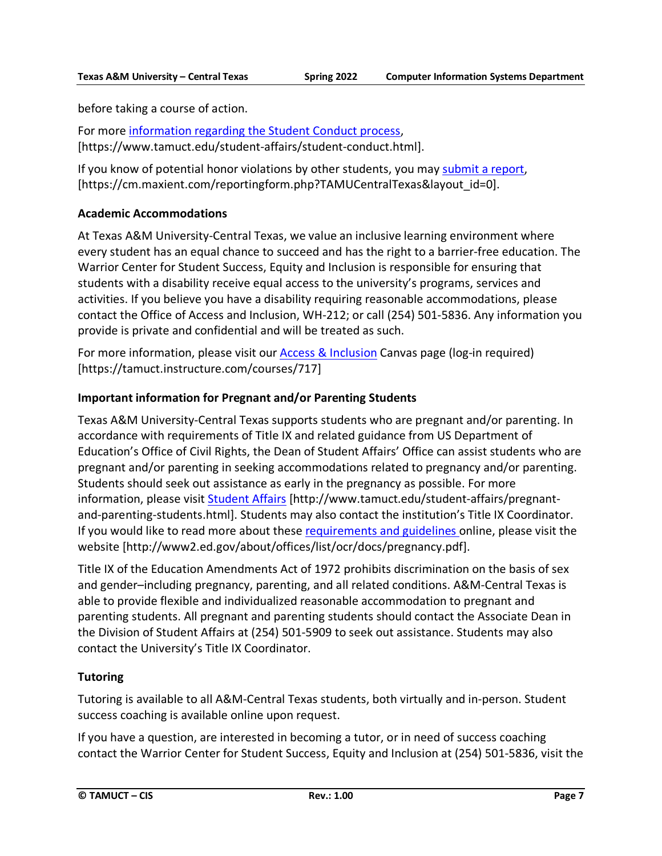before taking a course of action.

For more [information](https://nam04.safelinks.protection.outlook.com/?url=https%3A%2F%2Fwww.tamuct.edu%2Fstudent-affairs%2Fstudent-conduct.html&data=04%7C01%7Clisa.bunkowski%40tamuct.edu%7Ccfb6e486f24745f53e1a08d910055cb2%7C9eed4e3000f744849ff193ad8005acec%7C0%7C0%7C637558437485252160%7CUnknown%7CTWFpbGZsb3d8eyJWIjoiMC4wLjAwMDAiLCJQIjoiV2luMzIiLCJBTiI6Ik1haWwiLCJXVCI6Mn0%3D%7C1000&sdata=yjftDEVHvLX%2FhM%2FcFU0B99krV1RgEWR%2BJ%2BhvtoR6TYk%3D&reserved=0) regarding the Student Conduct process, [https://www.tamuct.edu/student-affairs/student-conduct.html].

If you know of potential honor violations by other students, you may [submit](https://nam04.safelinks.protection.outlook.com/?url=https%3A%2F%2Fcm.maxient.com%2Freportingform.php%3FTAMUCentralTexas%26layout_id%3D0&data=04%7C01%7Clisa.bunkowski%40tamuct.edu%7Ccfb6e486f24745f53e1a08d910055cb2%7C9eed4e3000f744849ff193ad8005acec%7C0%7C0%7C637558437485262157%7CUnknown%7CTWFpbGZsb3d8eyJWIjoiMC4wLjAwMDAiLCJQIjoiV2luMzIiLCJBTiI6Ik1haWwiLCJXVCI6Mn0%3D%7C1000&sdata=CXGkOa6uPDPX1IMZ87z3aZDq2n91xfHKu4MMS43Ejjk%3D&reserved=0) a report, [https://cm.maxient.com/reportingform.php?TAMUCentralTexas&layout\_id=0].

# **Academic Accommodations**

At Texas A&M University-Central Texas, we value an inclusive learning environment where every student has an equal chance to succeed and has the right to a barrier-free education. The Warrior Center for Student Success, Equity and Inclusion is responsible for ensuring that students with a disability receive equal access to the university's programs, services and activities. If you believe you have a disability requiring reasonable accommodations, please contact the Office of Access and Inclusion, WH-212; or call (254) 501-5836. Any information you provide is private and confidential and will be treated as such.

For more information, please visit our [Access & Inclusion](https://tamuct.instructure.com/courses/717) Canvas page (log-in required) [https://tamuct.instructure.com/courses/717]

# **Important information for Pregnant and/or Parenting Students**

Texas A&M University-Central Texas supports students who are pregnant and/or parenting. In accordance with requirements of Title IX and related guidance from US Department of Education's Office of Civil Rights, the Dean of Student Affairs' Office can assist students who are pregnant and/or parenting in seeking accommodations related to pregnancy and/or parenting. Students should seek out assistance as early in the pregnancy as possible. For more information, please visit [Student Affairs](https://www.tamuct.edu/student-affairs/pregnant-and-parenting-students.html) [http://www.tamuct.edu/student-affairs/pregnantand-parenting-students.html]. Students may also contact the institution's Title IX Coordinator. If you would like to read more about these [requirements and guidelines](http://www2.ed.gov/about/offices/list/ocr/docs/pregnancy.pdf) online, please visit the website [http://www2.ed.gov/about/offices/list/ocr/docs/pregnancy.pdf].

Title IX of the Education Amendments Act of 1972 prohibits discrimination on the basis of sex and gender–including pregnancy, parenting, and all related conditions. A&M-Central Texas is able to provide flexible and individualized reasonable accommodation to pregnant and parenting students. All pregnant and parenting students should contact the Associate Dean in the Division of Student Affairs at (254) 501-5909 to seek out assistance. Students may also contact the University's Title IX Coordinator.

# **Tutoring**

Tutoring is available to all A&M-Central Texas students, both virtually and in-person. Student success coaching is available online upon request.

If you have a question, are interested in becoming a tutor, or in need of success coaching contact the Warrior Center for Student Success, Equity and Inclusion at (254) 501-5836, visit the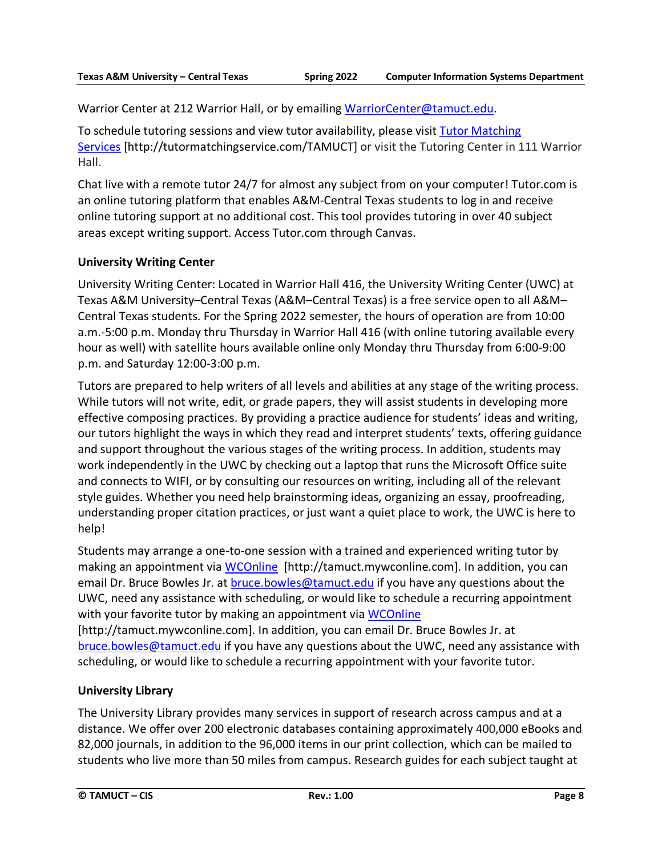Warrior Center at 212 Warrior Hall, or by emailing [WarriorCenter@tamuct.edu.](mailto:WarriorCenter@tamuct.edu)

To schedule tutoring sessions and view tutor availability, please visit Tutor [Matching](https://tutormatchingservice.com/TAMUCT) [Services](https://tutormatchingservice.com/TAMUCT) [http://tutormatchingservice.com/TAMUCT] or visit the Tutoring Center in 111 Warrior Hall.

Chat live with a remote tutor 24/7 for almost any subject from on your computer! Tutor.com is an online tutoring platform that enables A&M-Central Texas students to log in and receive online tutoring support at no additional cost. This tool provides tutoring in over 40 subject areas except writing support. Access Tutor.com through Canvas.

## **University Writing Center**

University Writing Center: Located in Warrior Hall 416, the University Writing Center (UWC) at Texas A&M University–Central Texas (A&M–Central Texas) is a free service open to all A&M– Central Texas students. For the Spring 2022 semester, the hours of operation are from 10:00 a.m.-5:00 p.m. Monday thru Thursday in Warrior Hall 416 (with online tutoring available every hour as well) with satellite hours available online only Monday thru Thursday from 6:00-9:00 p.m. and Saturday 12:00-3:00 p.m.

Tutors are prepared to help writers of all levels and abilities at any stage of the writing process. While tutors will not write, edit, or grade papers, they will assist students in developing more effective composing practices. By providing a practice audience for students' ideas and writing, our tutors highlight the ways in which they read and interpret students' texts, offering guidance and support throughout the various stages of the writing process. In addition, students may work independently in the UWC by checking out a laptop that runs the Microsoft Office suite and connects to WIFI, or by consulting our resources on writing, including all of the relevant style guides. Whether you need help brainstorming ideas, organizing an essay, proofreading, understanding proper citation practices, or just want a quiet place to work, the UWC is here to help!

Students may arrange a one-to-one session with a trained and experienced writing tutor by making an appointment via [WCOnline](https://tamuct.mywconline.com/) [http://tamuct.mywconline.com]. In addition, you can email Dr. Bruce Bowles Jr. at **bruce.bowles@tamuct.edu** if you have any questions about the UWC, need any assistance with scheduling, or would like to schedule a recurring appointment with your favorite tutor by making an appointment via [WCOnline](https://tamuct.mywconline.com/)

[http://tamuct.mywconline.com]. In addition, you can email Dr. Bruce Bowles Jr. at [bruce.bowles@tamuct.edu](mailto:bruce.bowles@tamuct.edu) if you have any questions about the UWC, need any assistance with scheduling, or would like to schedule a recurring appointment with your favorite tutor.

## **University Library**

The University Library provides many services in support of research across campus and at a distance. We offer over 200 electronic databases containing approximately 400,000 eBooks and 82,000 journals, in addition to the 96,000 items in our print collection, which can be mailed to students who live more than 50 miles from campus. Research guides for each subject taught at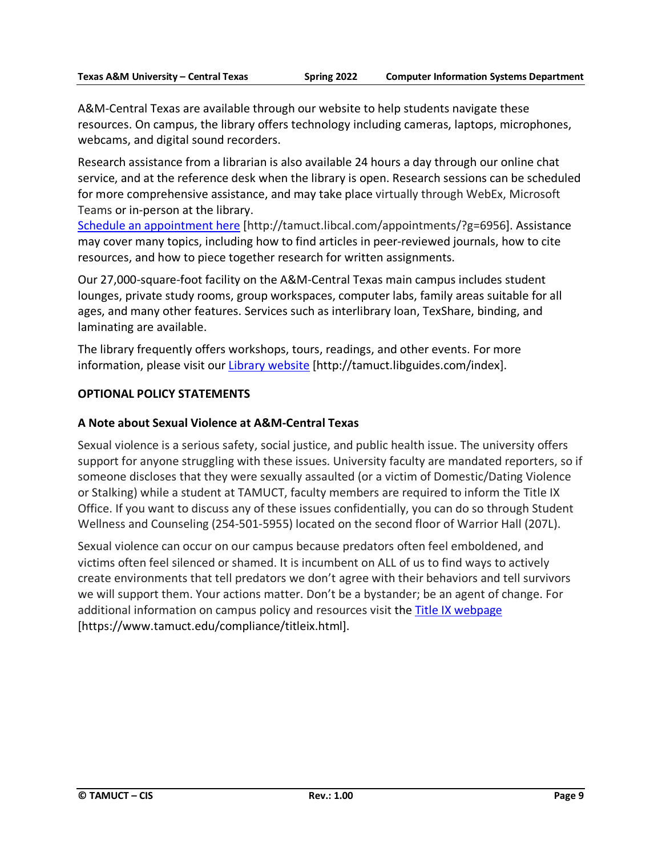A&M-Central Texas are available through our website to help students navigate these resources. On campus, the library offers technology including cameras, laptops, microphones, webcams, and digital sound recorders.

Research assistance from a librarian is also available 24 hours a day through our online chat service, and at the reference desk when the library is open. Research sessions can be scheduled for more comprehensive assistance, and may take place virtually through WebEx, Microsoft Teams or in-person at the library.

Schedule an [appointment](https://nam04.safelinks.protection.outlook.com/?url=https%3A%2F%2Ftamuct.libcal.com%2Fappointments%2F%3Fg%3D6956&data=04%7C01%7Clisa.bunkowski%40tamuct.edu%7Cde2c07d9f5804f09518008d9ab7ba6ff%7C9eed4e3000f744849ff193ad8005acec%7C0%7C0%7C637729369835011558%7CUnknown%7CTWFpbGZsb3d8eyJWIjoiMC4wLjAwMDAiLCJQIjoiV2luMzIiLCJBTiI6Ik1haWwiLCJXVCI6Mn0%3D%7C3000&sdata=KhtjgRSAw9aq%2FoBsB6wyu8b7PSuGN5EGPypzr3Ty2No%3D&reserved=0) here [http://tamuct.libcal.com/appointments/?g=6956]. Assistance may cover many topics, including how to find articles in peer-reviewed journals, how to cite resources, and how to piece together research for written assignments.

Our 27,000-square-foot facility on the A&M-Central Texas main campus includes student lounges, private study rooms, group workspaces, computer labs, family areas suitable for all ages, and many other features. Services such as interlibrary loan, TexShare, binding, and laminating are available.

The library frequently offers workshops, tours, readings, and other events. For more information, please visit our Library [website](https://nam04.safelinks.protection.outlook.com/?url=https%3A%2F%2Ftamuct.libguides.com%2Findex&data=04%7C01%7Clisa.bunkowski%40tamuct.edu%7C7d8489e8839a4915335f08d916f067f2%7C9eed4e3000f744849ff193ad8005acec%7C0%7C0%7C637566044056484222%7CUnknown%7CTWFpbGZsb3d8eyJWIjoiMC4wLjAwMDAiLCJQIjoiV2luMzIiLCJBTiI6Ik1haWwiLCJXVCI6Mn0%3D%7C1000&sdata=2R755V6rcIyedGrd4Os5rkgn1PvhHKU3kUV1vBKiHFo%3D&reserved=0) [http://tamuct.libguides.com/index].

## **OPTIONAL POLICY STATEMENTS**

### **A Note about Sexual Violence at A&M-Central Texas**

Sexual violence is a serious safety, social justice, and public health issue. The university offers support for anyone struggling with these issues. University faculty are mandated reporters, so if someone discloses that they were sexually assaulted (or a victim of Domestic/Dating Violence or Stalking) while a student at TAMUCT, faculty members are required to inform the Title IX Office. If you want to discuss any of these issues confidentially, you can do so through Student Wellness and Counseling (254-501-5955) located on the second floor of Warrior Hall (207L).

Sexual violence can occur on our campus because predators often feel emboldened, and victims often feel silenced or shamed. It is incumbent on ALL of us to find ways to actively create environments that tell predators we don't agree with their behaviors and tell survivors we will support them. Your actions matter. Don't be a bystander; be an agent of change. For additional information on campus policy and resources visit the [Title IX webpage](https://www.tamuct.edu/compliance/titleix.html) [\[https://www.tamuct.edu/compliance/titleix.html\]](https://www.tamuct.edu/compliance/titleix.html).